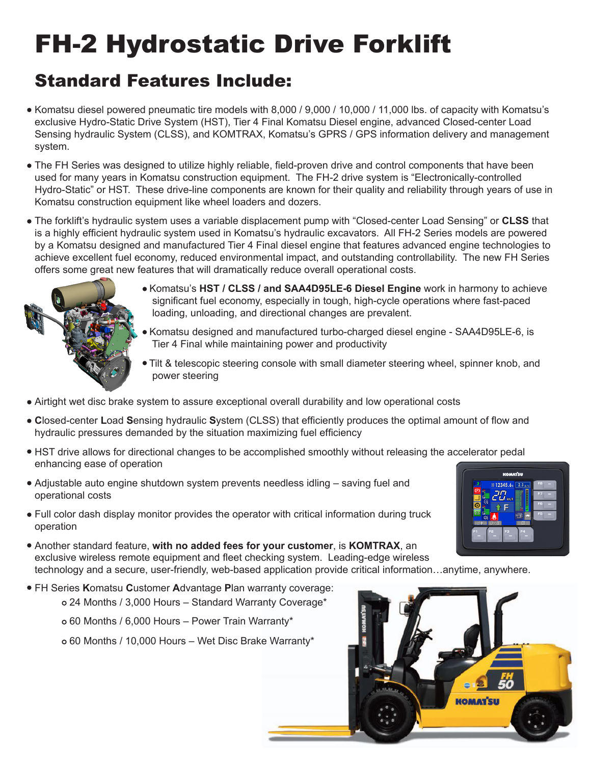## FH-2 Hydrostatic Drive Forklift

## Standard Features Include:

- Komatsu diesel powered pneumatic tire models with 8,000 / 9,000 / 10,000 / 11,000 lbs. of capacity with Komatsu's exclusive Hydro-Static Drive System (HST), Tier 4 Final Komatsu Diesel engine, advanced Closed-center Load Sensing hydraulic System (CLSS), and KOMTRAX, Komatsu's GPRS / GPS information delivery and management system.
- The FH Series was designed to utilize highly reliable, field-proven drive and control components that have been used for many years in Komatsu construction equipment. The FH-2 drive system is "Electronically-controlled Hydro-Static" or HST. These drive-line components are known for their quality and reliability through years of use in Komatsu construction equipment like wheel loaders and dozers.
- The forklift's hydraulic system uses a variable displacement pump with "Closed-center Load Sensing" or **CLSS** that is a highly efficient hydraulic system used in Komatsu's hydraulic excavators. All FH-2 Series models are powered by a Komatsu designed and manufactured Tier 4 Final diesel engine that features advanced engine technologies to achieve excellent fuel economy, reduced environmental impact, and outstanding controllability. The new FH Series offers some great new features that will dramatically reduce overall operational costs.



- Komatsu's **HST / CLSS / and SAA4D95LE-6 Diesel Engine** work in harmony to achieve significant fuel economy, especially in tough, high-cycle operations where fast-paced loading, unloading, and directional changes are prevalent.
- Komatsu designed and manufactured turbo-charged diesel engine SAA4D95LE-6, is Tier 4 Final while maintaining power and productivity
- Tilt & telescopic steering console with small diameter steering wheel, spinner knob, and power steering
- Airtight wet disc brake system to assure exceptional overall durability and low operational costs
- **C**losed-center **L**oad **S**ensing hydraulic **S**ystem (CLSS) that efficiently produces the optimal amount of flow and hydraulic pressures demanded by the situation maximizing fuel efficiency
- HST drive allows for directional changes to be accomplished smoothly without releasing the accelerator pedal enhancing ease of operation
- Adjustable auto engine shutdown system prevents needless idling saving fuel and operational costs
- Full color dash display monitor provides the operator with critical information during truck operation
- Another standard feature, **with no added fees for your customer**, is **KOMTRAX**, an exclusive wireless remote equipment and fleet checking system. Leading-edge wireless technology and a secure, user-friendly, web-based application provide critical information…anytime, anywhere.
- FH Series **K**omatsu **C**ustomer **A**dvantage **P**lan warranty coverage:
	- 24 Months / 3,000 Hours Standard Warranty Coverage\*
	- 60 Months / 6,000 Hours Power Train Warranty\*
	- 60 Months / 10,000 Hours Wet Disc Brake Warranty\*